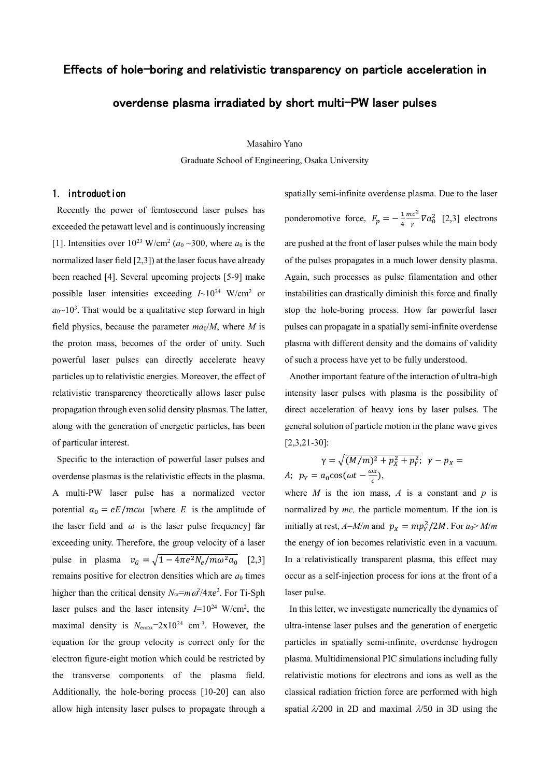# Effects of hole-boring and relativistic transparency on particle acceleration in

# overdense plasma irradiated by short multi-PW laser pulses

Masahiro Yano

Graduate School of Engineering, Osaka University

#### 1. introduction

Recently the power of femtosecond laser pulses has exceeded the petawatt level and is continuously increasing [1]. Intensities over  $10^{23}$  W/cm<sup>2</sup> ( $a_0 \sim 300$ , where  $a_0$  is the normalized laser field [2,3]) at the laser focus have already been reached [4]. Several upcoming projects [5-9] make possible laser intensities exceeding  $I \sim 10^{24}$  W/cm<sup>2</sup> or  $a_0$ ~10<sup>3</sup>. That would be a qualitative step forward in high field physics, because the parameter  $ma_0/M$ , where M is the proton mass, becomes of the order of unity. Such powerful laser pulses can directly accelerate heavy particles up to relativistic energies. Moreover, the effect of relativistic transparency theoretically allows laser pulse propagation through even solid density plasmas. The latter, along with the generation of energetic particles, has been of particular interest.

Specific to the interaction of powerful laser pulses and overdense plasmas is the relativistic effects in the plasma. A multi-PW laser pulse has a normalized vector potential  $a_0 = eE/mc\omega$  [where E is the amplitude of the laser field and  $\omega$  is the laser pulse frequency] far exceeding unity. Therefore, the group velocity of a laser pulse in plasma  $v_G = \sqrt{1 - 4\pi e^2 N_e / m \omega^2 a_0}$  [2,3] remains positive for electron densities which are  $a_0$  times higher than the critical density  $N_{cr} = m \omega^2 / 4 \pi e^2$ . For Ti-Sph laser pulses and the laser intensity  $I=10^{24}$  W/cm<sup>2</sup>, the maximal density is  $N_{\text{emax}} = 2 \times 10^{24} \text{ cm}^{-3}$ . However, the equation for the group velocity is correct only for the electron figure-eight motion which could be restricted by the transverse components of the plasma field. Additionally, the hole-boring process [10-20] can also allow high intensity laser pulses to propagate through a

spatially semi-infinite overdense plasma. Due to the laser ponderomotive force,  $F_p = -\frac{1}{4}$ 4  $mc<sup>2</sup>$  $\frac{ac}{\gamma} \nabla a_0^2$  [2,3] electrons are pushed at the front of laser pulses while the main body of the pulses propagates in a much lower density plasma. Again, such processes as pulse filamentation and other instabilities can drastically diminish this force and finally stop the hole-boring process. How far powerful laser pulses can propagate in a spatially semi-infinite overdense plasma with different density and the domains of validity of such a process have yet to be fully understood.

Another important feature of the interaction of ultra-high intensity laser pulses with plasma is the possibility of direct acceleration of heavy ions by laser pulses. The general solution of particle motion in the plane wave gives [2,3,21-30]:

$$
\gamma = \sqrt{(M/m)^2 + p_X^2 + p_Y^2}; \ \gamma - p_X =
$$
  
*A*;  $p_Y = a_0 \cos(\omega t - \frac{\omega x}{c}),$ 

where  $M$  is the ion mass,  $A$  is a constant and  $p$  is normalized by *mc,* the particle momentum. If the ion is initially at rest,  $A=M/m$  and  $p_X = mp_Y^2/2M$ . For  $a_0 > M/m$ the energy of ion becomes relativistic even in a vacuum. In a relativistically transparent plasma, this effect may occur as a self-injection process for ions at the front of a laser pulse.

In this letter, we investigate numerically the dynamics of ultra-intense laser pulses and the generation of energetic particles in spatially semi-infinite, overdense hydrogen plasma. Multidimensional PIC simulations including fully relativistic motions for electrons and ions as well as the classical radiation friction force are performed with high spatial  $\lambda$ /200 in 2D and maximal  $\lambda$ /50 in 3D using the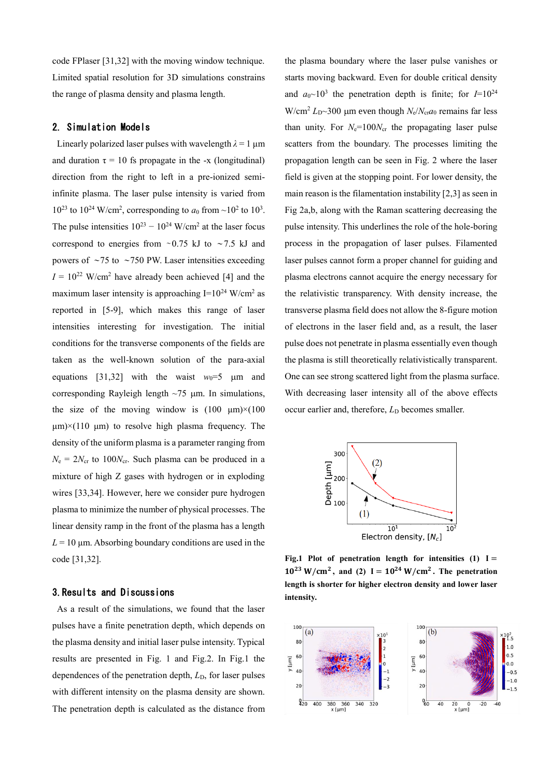code FPlaser [31,32] with the moving window technique. Limited spatial resolution for 3D simulations constrains the range of plasma density and plasma length.

### 2. Simulation Models

Linearly polarized laser pulses with wavelength  $\lambda = 1 \mu m$ and duration  $\tau = 10$  fs propagate in the -x (longitudinal) direction from the right to left in a pre-ionized semiinfinite plasma. The laser pulse intensity is varied from  $10^{23}$  to  $10^{24}$  W/cm<sup>2</sup>, corresponding to  $a_0$  from  $\sim$  10<sup>2</sup> to  $10^3$ . The pulse intensities  $10^{23} - 10^{24}$  W/cm<sup>2</sup> at the laser focus correspond to energies from ∼0.75 kJ to ∼7.5 kJ and powers of ∼75 to ∼750 PW. Laser intensities exceeding  $I = 10^{22}$  W/cm<sup>2</sup> have already been achieved [4] and the maximum laser intensity is approaching  $I=10^{24}$  W/cm<sup>2</sup> as reported in [5-9], which makes this range of laser intensities interesting for investigation. The initial conditions for the transverse components of the fields are taken as the well-known solution of the para-axial equations [31,32] with the waist  $w_0=5$  µm and corresponding Rayleigh length  $\sim$ 75  $\mu$ m. In simulations, the size of the moving window is  $(100 \mu m) \times (100 \mu m)$  $\mu$ m)×(110  $\mu$ m) to resolve high plasma frequency. The density of the uniform plasma is a parameter ranging from  $N_e = 2N_{cr}$  to 100 $N_{cr}$ . Such plasma can be produced in a mixture of high Z gases with hydrogen or in exploding wires [33,34]. However, here we consider pure hydrogen plasma to minimize the number of physical processes. The linear density ramp in the front of the plasma has a length  $L = 10 \mu$ m. Absorbing boundary conditions are used in the code [31,32].

### 3.Results and Discussions

As a result of the simulations, we found that the laser pulses have a finite penetration depth, which depends on the plasma density and initial laser pulse intensity. Typical results are presented in Fig. 1 and Fig.2. In Fig.1 the dependences of the penetration depth,  $L<sub>D</sub>$ , for laser pulses with different intensity on the plasma density are shown. The penetration depth is calculated as the distance from the plasma boundary where the laser pulse vanishes or starts moving backward. Even for double critical density and  $a_0 \sim 10^3$  the penetration depth is finite; for  $I=10^{24}$  $W/cm<sup>2</sup> L<sub>D</sub> \sim 300$  µm even though  $N_e/N_{cr}a_0$  remains far less than unity. For  $N_e=100N_{cr}$  the propagating laser pulse scatters from the boundary. The processes limiting the propagation length can be seen in Fig. 2 where the laser field is given at the stopping point. For lower density, the main reason is the filamentation instability [2,3] as seen in Fig 2a,b, along with the Raman scattering decreasing the pulse intensity. This underlines the role of the hole-boring process in the propagation of laser pulses. Filamented laser pulses cannot form a proper channel for guiding and plasma electrons cannot acquire the energy necessary for the relativistic transparency. With density increase, the transverse plasma field does not allow the 8-figure motion of electrons in the laser field and, as a result, the laser pulse does not penetrate in plasma essentially even though the plasma is still theoretically relativistically transparent. One can see strong scattered light from the plasma surface. With decreasing laser intensity all of the above effects occur earlier and, therefore, *L*<sub>D</sub> becomes smaller.



Fig.1 Plot of penetration length for intensities  $(1)$  I =  $10^{23}$  W/cm<sup>2</sup>, and (2) I =  $10^{24}$  W/cm<sup>2</sup>. The penetration length is shorter for higher electron density and lower laser **intensity.**

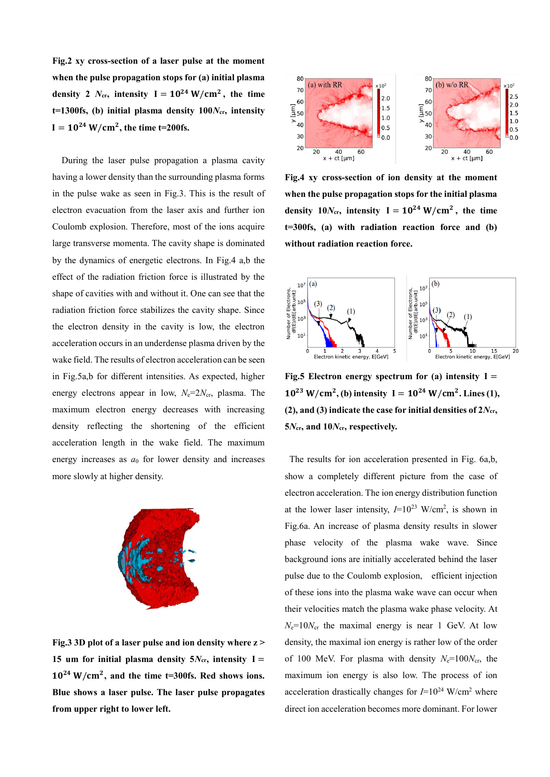**Fig.) xy cross-section of a laser pulse at the moment when the pulse propagation stops for (a) initial plasma**  density 2  $N_{cr}$ , intensity  $I = 10^{24} \text{ W/cm}^2$ , the time  $t=1300$ fs, (b) initial plasma density  $100N_{cr}$ , intensity  $I = 10^{24}$  W/cm<sup>2</sup>, the time t=200fs.

 During the laser pulse propagation a plasma cavity having a lower density than the surrounding plasma forms in the pulse wake as seen in Fig.3. This is the result of electron evacuation from the laser axis and further ion Coulomb explosion. Therefore, most of the ions acquire large transverse momenta. The cavity shape is dominated by the dynamics of energetic electrons. In Fig.4 a,b the effect of the radiation friction force is illustrated by the shape of cavities with and without it. One can see that the radiation friction force stabilizes the cavity shape. Since the electron density in the cavity is low, the electron acceleration occurs in an underdense plasma driven by the wake field. The results of electron acceleration can be seen in Fig.5a,b for different intensities. As expected, higher energy electrons appear in low,  $N_e=2N_{cr}$ , plasma. The maximum electron energy decreases with increasing density reflecting the shortening of the efficient acceleration length in the wake field. The maximum energy increases as  $a_0$  for lower density and increases more slowly at higher density.



Fig.3 3D plot of a laser pulse and ion density where  $z >$ **15 um for initial plasma density**  $5N_{cr}$ **, intensity I =**  $10^{24}$  W/cm<sup>2</sup>, and the time t=300fs. Red shows ions. Blue shows a laser pulse. The laser pulse propagates **from upper right to lower left.**



Fig.4 xy cross-section of ion density at the moment **when the pulse propagation stops for the initial plasma**  density  $10N_{cr}$ , intensity  $I = 10^{24} \text{ W/cm}^2$ , the time t=300fs, (a) with radiation reaction force and (b) without radiation reaction force.



**Fig.5 Electron energy spectrum for (a) intensity**  $I =$  $10^{23}$  W/cm<sup>2</sup>, (b) intensity  $I = 10^{24}$  W/cm<sup>2</sup>. Lines (1), **(2), and (3) indicate the case for initial densities of**  $2N_{cr}$ **, 5***N***cr an 10***N***cr respectively.** 

The results for ion acceleration presented in Fig. 6a,b, show a completely different picture from the case of electron acceleration. The ion energy distribution function at the lower laser intensity,  $I=10^{23}$  W/cm<sup>2</sup>, is shown in Fig.6a. An increase of plasma density results in slower phase velocity of the plasma wake wave. Since background ions are initially accelerated behind the laser pulse due to the Coulomb explosion, efficient injection of these ions into the plasma wake wave can occur when their velocities match the plasma wake phase velocity. At  $N_e=10N_{cr}$  the maximal energy is near 1 GeV. At low density, the maximal ion energy is rather low of the order of 100 MeV. For plasma with density  $N_e=100N_{cr}$ , the maximum ion energy is also low. The process of ion acceleration drastically changes for  $I=10^{24}$  W/cm<sup>2</sup> where direct ion acceleration becomes more dominant. For lower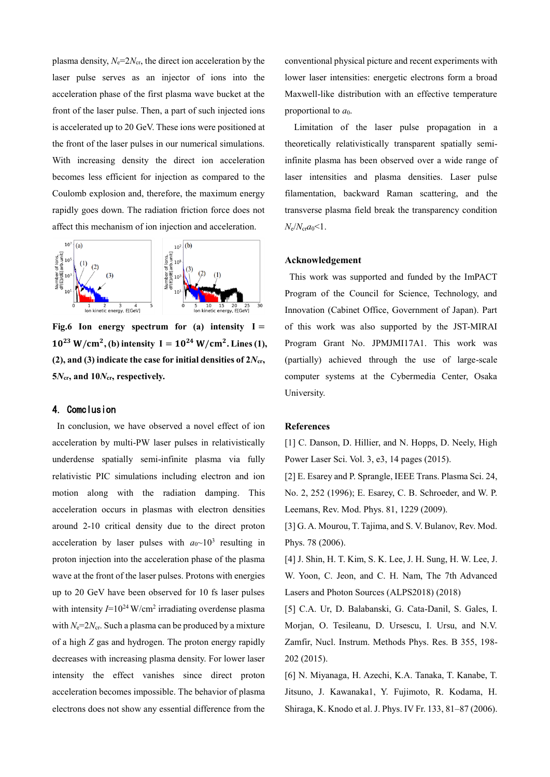plasma density,  $N_e=2N_{cr}$ , the direct ion acceleration by the laser pulse serves as an injector of ions into the acceleration phase of the first plasma wave bucket at the front of the laser pulse. Then, a part of such injected ions is accelerated up to 20 GeV. These ions were positioned at the front of the laser pulses in our numerical simulations. With increasing density the direct ion acceleration becomes less efficient for injection as compared to the Coulomb explosion and, therefore, the maximum energy rapidly goes down. The radiation friction force does not affect this mechanism of ion injection and acceleration.



Fig.6 Ion energy spectrum for  $(a)$  intensity  $I =$  $10^{23}$  W/cm<sup>2</sup>, (b) intensity  $I = 10^{24}$  W/cm<sup>2</sup>. Lines (1),  $(2)$ , and  $(3)$  indicate the case for initial densities of  $2N_{cr}$ , 5 $N_{cr}$ , and 10 $N_{cr}$ , respectively.

## 4. Comclusion

In conclusion, we have observed a novel effect of ion acceleration by multi-PW laser pulses in relativistically underdense spatially semi-infinite plasma via fully relativistic PIC simulations including electron and ion motion along with the radiation damping. This acceleration occurs in plasmas with electron densities around 2-10 critical density due to the direct proton acceleration by laser pulses with  $a_0 \sim 10^3$  resulting in proton injection into the acceleration phase of the plasma wave at the front of the laser pulses. Protons with energies up to 20 GeV have been observed for 10 fs laser pulses with intensity  $I=10^{24}$  W/cm<sup>2</sup> irradiating overdense plasma with  $N_e=2N_{cr}$ . Such a plasma can be produced by a mixture of a high *Z* gas and hydrogen. The proton energy rapidly decreases with increasing plasma density. For lower laser intensity the effect vanishes since direct proton acceleration becomes impossible. The behavior of plasma electrons does not show any essential difference from the

conventional physical picture and recent experiments with lower laser intensities: energetic electrons form a broad Maxwell-like distribution with an effective temperature proportional to  $a_0$ .

 Limitation of the laser pulse propagation in a theoretically relativistically transparent spatially semiinfinite plasma has been observed over a wide range of laser intensities and plasma densities. Laser pulse filamentation, backward Raman scattering, and the transverse plasma field break the transparency condition *N*e/*N*cr*a*0<1.

#### **Acknowle gement**

This work was supported and funded by the ImPACT Program of the Council for Science, Technology, and Innovation (Cabinet Office, Government of Japan). Part of this work was also supported by the JST-MIRAI Program Grant No. JPMJMI17A1. This work was (partially) achieved through the use of large-scale computer systems at the Cybermedia Center, Osaka University.

#### **References**

[1] C. Danson, D. Hillier, and N. Hopps, D. Neely, High Power Laser Sci. Vol. 3, e3, 14 pages (2015).

[2] E. Esarey and P. Sprangle, IEEE Trans. Plasma Sci. 24, No. 2, 252 (1996); E. Esarey, C. B. Schroeder, and W. P. Leemans, Rev. Mod. Phys. 81, 1229 (2009).

[3] G. A. Mourou, T. Tajima, and S. V. Bulanov, Rev. Mod. Phys. 78 (2006).

[4] J. Shin, H. T. Kim, S. K. Lee, J. H. Sung, H. W. Lee, J. W. Yoon, C. Jeon, and C. H. Nam, The 7th Advanced Lasers and Photon Sources (ALPS2018) (2018)

[5] C.A. Ur, D. Balabanski, G. Cata-Danil, S. Gales, I. Morjan, O. Tesileanu, D. Ursescu, I. Ursu, and N.V. Zamfir, Nucl. Instrum. Methods Phys. Res. B 355, 198- 202 (2015).

[6] N. Miyanaga, H. Azechi, K.A. Tanaka, T. Kanabe, T. Jitsuno, J. Kawanaka1, Y. Fujimoto, R. Kodama, H. Shiraga, K. Knodo et al. J. Phys. IV Fr. 133, 81–87 (2006).